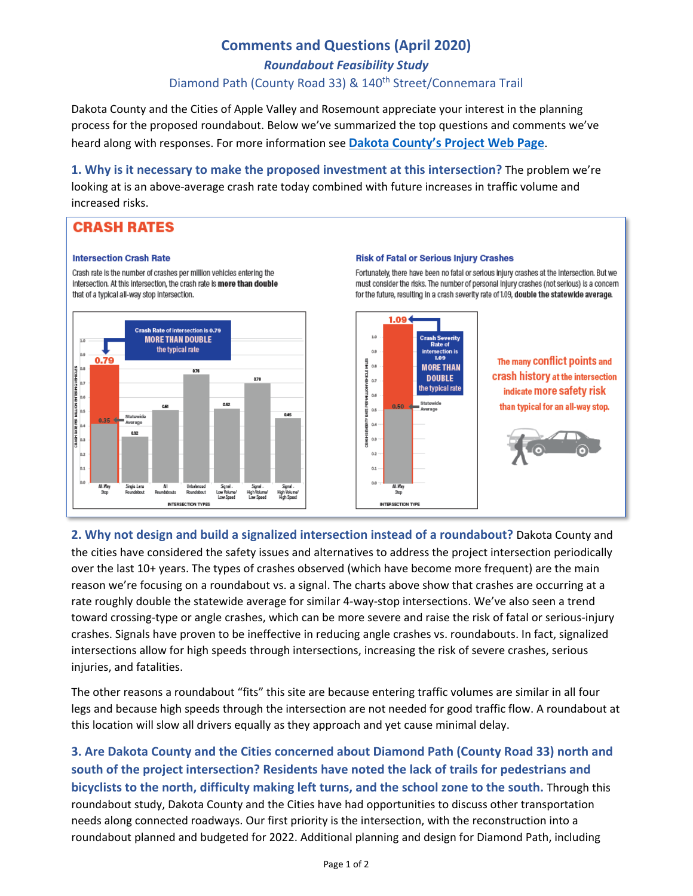# **Comments and Questions (April 2020)**

*Roundabout Feasibility Study*

### Diamond Path (County Road 33) & 140<sup>th</sup> Street/Connemara Trail

Dakota County and the Cities of Apple Valley and Rosemount appreciate your interest in the planning process for the proposed roundabout. Below we've summarized the top questions and comments we've heard along with responses. For more information see **[Dakota County's Project Web Page](https://www.co.dakota.mn.us/Transportation/TransportationStudies/Current/Pages/cr-33-roundabout-feasibility-study.aspx)**.

**1. Why is it necessary to make the proposed investment at this intersection?** The problem we're looking at is an above-average crash rate today combined with future increases in traffic volume and increased risks.

## **CRASH RATES**

### **Intersection Crash Rate**

Crash rate is the number of crashes per million vehicles entering the intersection. At this intersection, the crash rate is more than double that of a typical all-way stop intersection.



### **Risk of Fatal or Serious Injury Crashes**

Fortunately, there have been no fatal or serious injury crashes at the Intersection. But we must consider the risks. The number of personal injury crashes (not serious) is a concern for the future, resulting in a crash severity rate of 1.09, double the statewide average.



**2. Why not design and build a signalized intersection instead of a roundabout?** Dakota County and the cities have considered the safety issues and alternatives to address the project intersection periodically over the last 10+ years. The types of crashes observed (which have become more frequent) are the main reason we're focusing on a roundabout vs. a signal. The charts above show that crashes are occurring at a rate roughly double the statewide average for similar 4-way-stop intersections. We've also seen a trend toward crossing-type or angle crashes, which can be more severe and raise the risk of fatal or serious-injury crashes. Signals have proven to be ineffective in reducing angle crashes vs. roundabouts. In fact, signalized intersections allow for high speeds through intersections, increasing the risk of severe crashes, serious injuries, and fatalities.

The other reasons a roundabout "fits" this site are because entering traffic volumes are similar in all four legs and because high speeds through the intersection are not needed for good traffic flow. A roundabout at this location will slow all drivers equally as they approach and yet cause minimal delay.

**3. Are Dakota County and the Cities concerned about Diamond Path (County Road 33) north and south of the project intersection? Residents have noted the lack of trails for pedestrians and bicyclists to the north, difficulty making left turns, and the school zone to the south.** Through this roundabout study, Dakota County and the Cities have had opportunities to discuss other transportation needs along connected roadways. Our first priority is the intersection, with the reconstruction into a roundabout planned and budgeted for 2022. Additional planning and design for Diamond Path, including